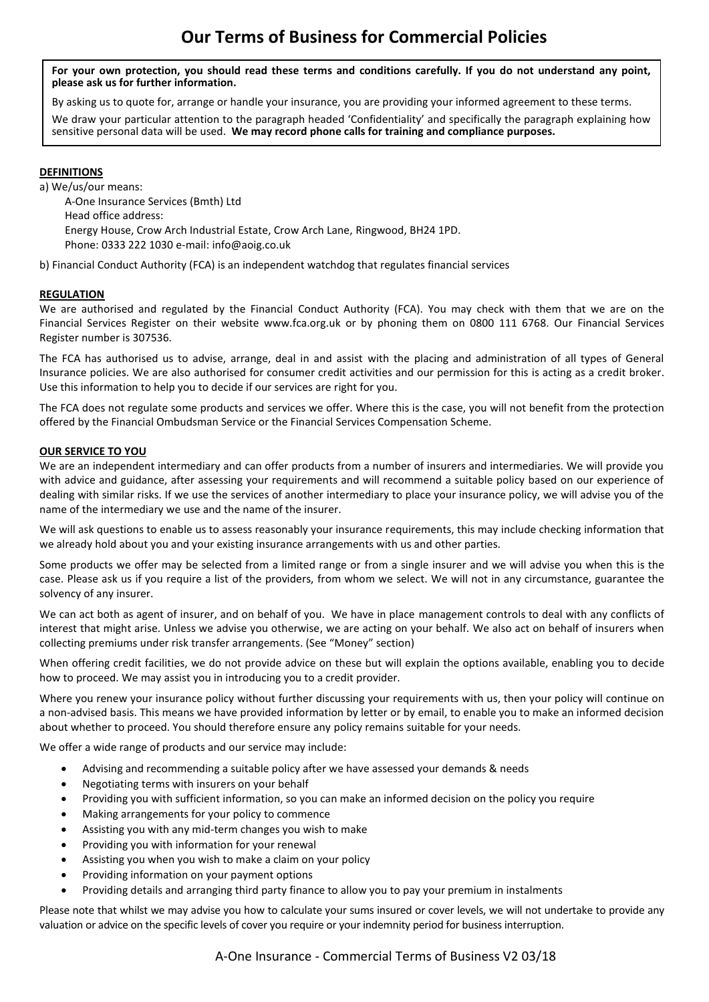**For your own protection, you should read these terms and conditions carefully. If you do not understand any point, please ask us for further information.** 

By asking us to quote for, arrange or handle your insurance, you are providing your informed agreement to these terms.

We draw your particular attention to the paragraph headed 'Confidentiality' and specifically the paragraph explaining how sensitive personal data will be used. **We may record phone calls for training and compliance purposes.**

## **DEFINITIONS**

a) We/us/our means:

A-One Insurance Services (Bmth) Ltd Head office address: Energy House, Crow Arch Industrial Estate, Crow Arch Lane, Ringwood, BH24 1PD. Phone: 0333 222 1030 e-mail: info@aoig.co.uk

b) Financial Conduct Authority (FCA) is an independent watchdog that regulates financial services

## **REGULATION**

We are authorised and regulated by the Financial Conduct Authority (FCA). You may check with them that we are on the Financial Services Register on their website www.fca.org.uk or by phoning them on 0800 111 6768. Our Financial Services Register number is 307536.

The FCA has authorised us to advise, arrange, deal in and assist with the placing and administration of all types of General Insurance policies. We are also authorised for consumer credit activities and our permission for this is acting as a credit broker. Use this information to help you to decide if our services are right for you.

The FCA does not regulate some products and services we offer. Where this is the case, you will not benefit from the protection offered by the Financial Ombudsman Service or the Financial Services Compensation Scheme.

## **OUR SERVICE TO YOU**

We are an independent intermediary and can offer products from a number of insurers and intermediaries. We will provide you with advice and guidance, after assessing your requirements and will recommend a suitable policy based on our experience of dealing with similar risks. If we use the services of another intermediary to place your insurance policy, we will advise you of the name of the intermediary we use and the name of the insurer.

We will ask questions to enable us to assess reasonably your insurance requirements, this may include checking information that we already hold about you and your existing insurance arrangements with us and other parties.

Some products we offer may be selected from a limited range or from a single insurer and we will advise you when this is the case. Please ask us if you require a list of the providers, from whom we select. We will not in any circumstance, guarantee the solvency of any insurer.

We can act both as agent of insurer, and on behalf of you. We have in place management controls to deal with any conflicts of interest that might arise. Unless we advise you otherwise, we are acting on your behalf. We also act on behalf of insurers when collecting premiums under risk transfer arrangements. (See "Money" section)

When offering credit facilities, we do not provide advice on these but will explain the options available, enabling you to decide how to proceed. We may assist you in introducing you to a credit provider.

Where you renew your insurance policy without further discussing your requirements with us, then your policy will continue on a non-advised basis. This means we have provided information by letter or by email, to enable you to make an informed decision about whether to proceed. You should therefore ensure any policy remains suitable for your needs.

We offer a wide range of products and our service may include:

- Advising and recommending a suitable policy after we have assessed your demands & needs
- Negotiating terms with insurers on your behalf
- Providing you with sufficient information, so you can make an informed decision on the policy you require
- Making arrangements for your policy to commence
- Assisting you with any mid-term changes you wish to make
- Providing you with information for your renewal
- Assisting you when you wish to make a claim on your policy
- Providing information on your payment options
- Providing details and arranging third party finance to allow you to pay your premium in instalments

Please note that whilst we may advise you how to calculate your sums insured or cover levels, we will not undertake to provide any valuation or advice on the specific levels of cover you require or your indemnity period for business interruption.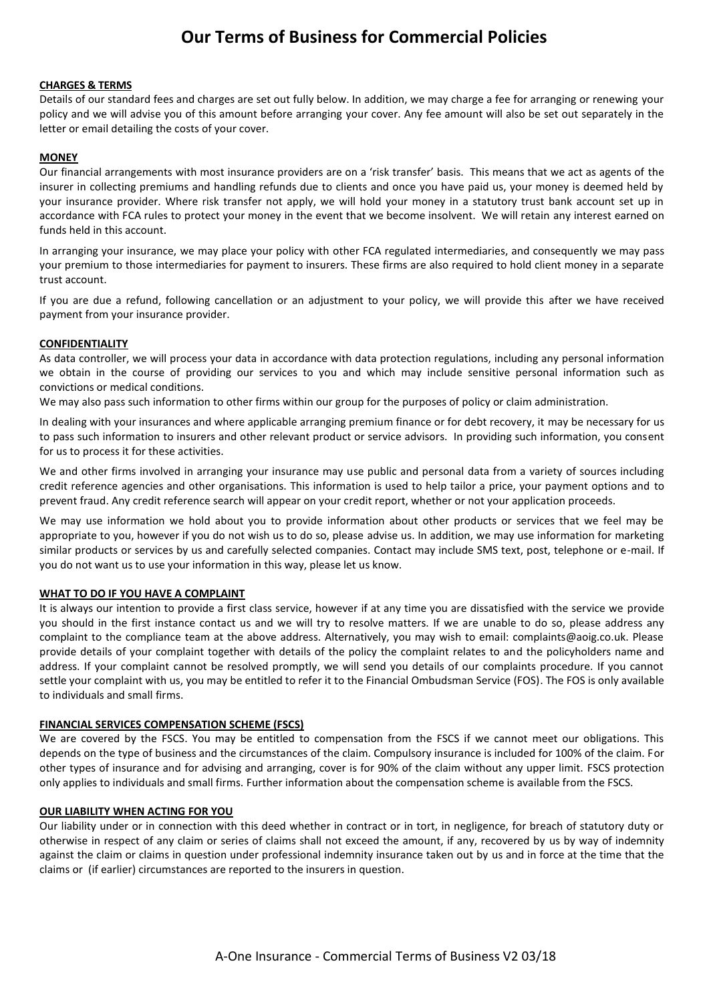### **CHARGES & TERMS**

Details of our standard fees and charges are set out fully below. In addition, we may charge a fee for arranging or renewing your policy and we will advise you of this amount before arranging your cover. Any fee amount will also be set out separately in the letter or email detailing the costs of your cover.

### **MONEY**

Our financial arrangements with most insurance providers are on a 'risk transfer' basis. This means that we act as agents of the insurer in collecting premiums and handling refunds due to clients and once you have paid us, your money is deemed held by your insurance provider. Where risk transfer not apply, we will hold your money in a statutory trust bank account set up in accordance with FCA rules to protect your money in the event that we become insolvent. We will retain any interest earned on funds held in this account.

In arranging your insurance, we may place your policy with other FCA regulated intermediaries, and consequently we may pass your premium to those intermediaries for payment to insurers. These firms are also required to hold client money in a separate trust account.

If you are due a refund, following cancellation or an adjustment to your policy, we will provide this after we have received payment from your insurance provider.

### **CONFIDENTIALITY**

As data controller, we will process your data in accordance with data protection regulations, including any personal information we obtain in the course of providing our services to you and which may include sensitive personal information such as convictions or medical conditions.

We may also pass such information to other firms within our group for the purposes of policy or claim administration.

In dealing with your insurances and where applicable arranging premium finance or for debt recovery, it may be necessary for us to pass such information to insurers and other relevant product or service advisors. In providing such information, you consent for us to process it for these activities.

We and other firms involved in arranging your insurance may use public and personal data from a variety of sources including credit reference agencies and other organisations. This information is used to help tailor a price, your payment options and to prevent fraud. Any credit reference search will appear on your credit report, whether or not your application proceeds.

We may use information we hold about you to provide information about other products or services that we feel may be appropriate to you, however if you do not wish us to do so, please advise us. In addition, we may use information for marketing similar products or services by us and carefully selected companies. Contact may include SMS text, post, telephone or e-mail. If you do not want us to use your information in this way, please let us know.

## **WHAT TO DO IF YOU HAVE A COMPLAINT**

It is always our intention to provide a first class service, however if at any time you are dissatisfied with the service we provide you should in the first instance contact us and we will try to resolve matters. If we are unable to do so, please address any complaint to the compliance team at the above address. Alternatively, you may wish to email: complaints@aoig.co.uk. Please provide details of your complaint together with details of the policy the complaint relates to and the policyholders name and address. If your complaint cannot be resolved promptly, we will send you details of our complaints procedure. If you cannot settle your complaint with us, you may be entitled to refer it to the Financial Ombudsman Service (FOS). The FOS is only available to individuals and small firms.

#### **FINANCIAL SERVICES COMPENSATION SCHEME (FSCS)**

We are covered by the FSCS. You may be entitled to compensation from the FSCS if we cannot meet our obligations. This depends on the type of business and the circumstances of the claim. Compulsory insurance is included for 100% of the claim. For other types of insurance and for advising and arranging, cover is for 90% of the claim without any upper limit. FSCS protection only applies to individuals and small firms. Further information about the compensation scheme is available from the FSCS.

#### **OUR LIABILITY WHEN ACTING FOR YOU**

Our liability under or in connection with this deed whether in contract or in tort, in negligence, for breach of statutory duty or otherwise in respect of any claim or series of claims shall not exceed the amount, if any, recovered by us by way of indemnity against the claim or claims in question under professional indemnity insurance taken out by us and in force at the time that the claims or (if earlier) circumstances are reported to the insurers in question.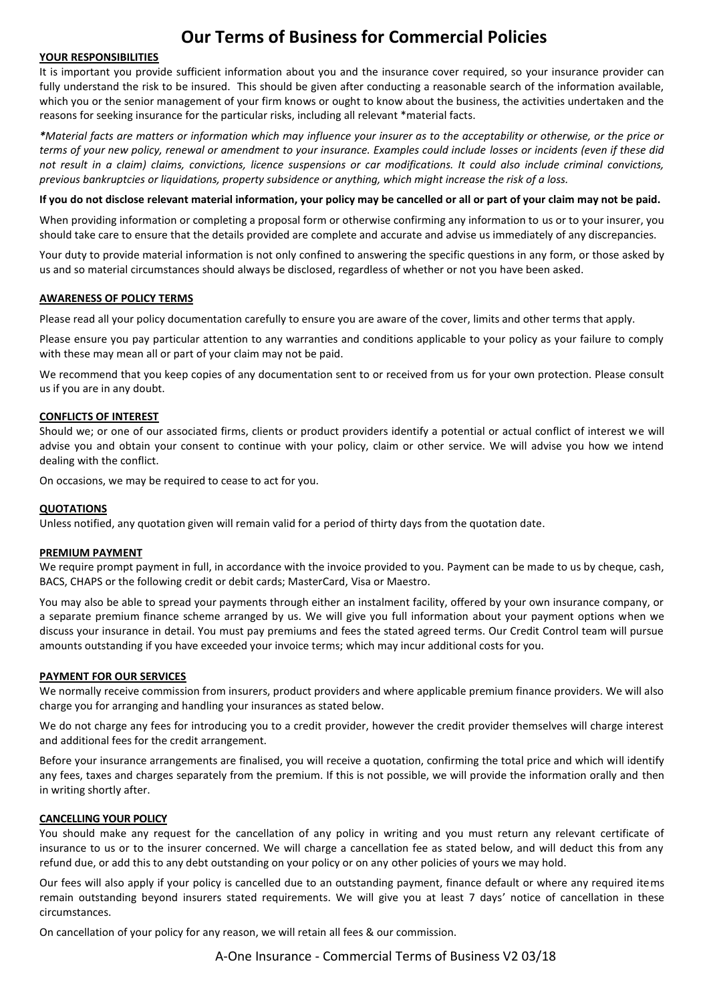#### **YOUR RESPONSIBILITIES**

It is important you provide sufficient information about you and the insurance cover required, so your insurance provider can fully understand the risk to be insured. This should be given after conducting a reasonable search of the information available. which you or the senior management of your firm knows or ought to know about the business, the activities undertaken and the reasons for seeking insurance for the particular risks, including all relevant \*material facts.

*\*Material facts are matters or information which may influence your insurer as to the acceptability or otherwise, or the price or terms of your new policy, renewal or amendment to your insurance. Examples could include losses or incidents (even if these did not result in a claim) claims, convictions, licence suspensions or car modifications. It could also include criminal convictions, previous bankruptcies or liquidations, property subsidence or anything, which might increase the risk of a loss.* 

**If you do not disclose relevant material information, your policy may be cancelled or all or part of your claim may not be paid.**

When providing information or completing a proposal form or otherwise confirming any information to us or to your insurer, you should take care to ensure that the details provided are complete and accurate and advise us immediately of any discrepancies.

Your duty to provide material information is not only confined to answering the specific questions in any form, or those asked by us and so material circumstances should always be disclosed, regardless of whether or not you have been asked.

## **AWARENESS OF POLICY TERMS**

Please read all your policy documentation carefully to ensure you are aware of the cover, limits and other terms that apply.

Please ensure you pay particular attention to any warranties and conditions applicable to your policy as your failure to comply with these may mean all or part of your claim may not be paid.

We recommend that you keep copies of any documentation sent to or received from us for your own protection. Please consult us if you are in any doubt.

### **CONFLICTS OF INTEREST**

Should we; or one of our associated firms, clients or product providers identify a potential or actual conflict of interest we will advise you and obtain your consent to continue with your policy, claim or other service. We will advise you how we intend dealing with the conflict.

On occasions, we may be required to cease to act for you.

#### **QUOTATIONS**

Unless notified, any quotation given will remain valid for a period of thirty days from the quotation date.

#### **PREMIUM PAYMENT**

We require prompt payment in full, in accordance with the invoice provided to you. Payment can be made to us by cheque, cash, BACS, CHAPS or the following credit or debit cards; MasterCard, Visa or Maestro.

You may also be able to spread your payments through either an instalment facility, offered by your own insurance company, or a separate premium finance scheme arranged by us. We will give you full information about your payment options when we discuss your insurance in detail. You must pay premiums and fees the stated agreed terms. Our Credit Control team will pursue amounts outstanding if you have exceeded your invoice terms; which may incur additional costs for you.

#### **PAYMENT FOR OUR SERVICES**

We normally receive commission from insurers, product providers and where applicable premium finance providers. We will also charge you for arranging and handling your insurances as stated below.

We do not charge any fees for introducing you to a credit provider, however the credit provider themselves will charge interest and additional fees for the credit arrangement.

Before your insurance arrangements are finalised, you will receive a quotation, confirming the total price and which will identify any fees, taxes and charges separately from the premium. If this is not possible, we will provide the information orally and then in writing shortly after.

#### **CANCELLING YOUR POLICY**

You should make any request for the cancellation of any policy in writing and you must return any relevant certificate of insurance to us or to the insurer concerned. We will charge a cancellation fee as stated below, and will deduct this from any refund due, or add this to any debt outstanding on your policy or on any other policies of yours we may hold.

Our fees will also apply if your policy is cancelled due to an outstanding payment, finance default or where any required items remain outstanding beyond insurers stated requirements. We will give you at least 7 days' notice of cancellation in these circumstances.

On cancellation of your policy for any reason, we will retain all fees & our commission.

A-One Insurance - Commercial Terms of Business V2 03/18